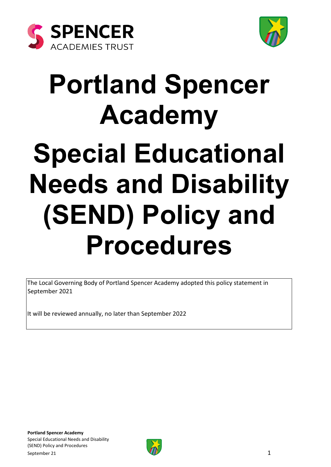



# **Portland Spencer Academy Special Educational Needs and Disability (SEND) Policy and Procedures**

The Local Governing Body of Portland Spencer Academy adopted this policy statement in September 2021

It will be reviewed annually, no later than September 2022

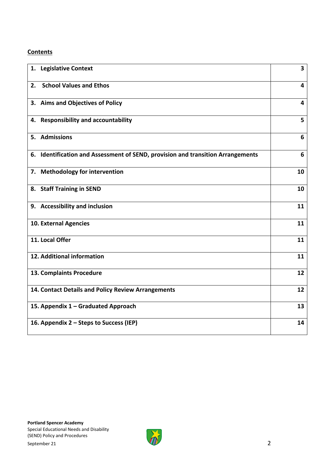#### **Contents**

| 1. Legislative Context                                                          | $\overline{\mathbf{3}}$ |
|---------------------------------------------------------------------------------|-------------------------|
| <b>School Values and Ethos</b><br>2.                                            | 4                       |
| 3. Aims and Objectives of Policy                                                | $\overline{\mathbf{4}}$ |
| 4. Responsibility and accountability                                            | 5                       |
| 5. Admissions                                                                   | 6                       |
| 6. Identification and Assessment of SEND, provision and transition Arrangements | 6                       |
| 7. Methodology for intervention                                                 | 10                      |
| 8. Staff Training in SEND                                                       | 10                      |
| 9. Accessibility and inclusion                                                  | 11                      |
| 10. External Agencies                                                           | 11                      |
| 11. Local Offer                                                                 | 11                      |
| 12. Additional information                                                      | 11                      |
| 13. Complaints Procedure                                                        | 12                      |
| 14. Contact Details and Policy Review Arrangements                              | 12                      |
| 15. Appendix 1 - Graduated Approach                                             | 13                      |
| 16. Appendix 2 – Steps to Success (IEP)                                         | 14                      |

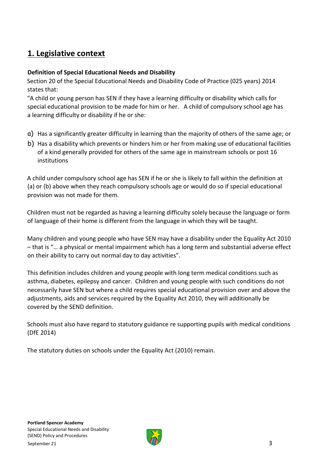## **1. Legislative context**

#### **Definition of Special Educational Needs and Disability**

Section 20 of the Special Educational Needs and Disability Code of Practice (025 years) 2014 states that:

"A child or young person has SEN if they have a learning difficulty or disability which calls for special educational provision to be made for him or her. A child of compulsory school age has a learning difficulty or disability if he or she:

- a) Has a significantly greater difficulty in learning than the majority of others of the same age; or
- b) Has a disability which prevents or hinders him or her from making use of educational facilities of a kind generally provided for others of the same age in mainstream schools or post 16 institutions

A child under compulsory school age has SEN if he or she is likely to fall within the definition at (a) or (b) above when they reach compulsory schools age or would do so if special educational provision was not made for them.

Children must not be regarded as having a learning difficulty solely because the language or form of language of their home is different from the language in which they will be taught.

Many children and young people who have SEN may have a disability under the Equality Act 2010 – that is "… a physical or mental impairment which has a long term and substantial adverse effect on their ability to carry out normal day to day activities".

This definition includes children and young people with long term medical conditions such as asthma, diabetes, epilepsy and cancer. Children and young people with such conditions do not necessarily have SEN but where a child requires special educational provision over and above the adjustments, aids and services required by the Equality Act 2010, they will additionally be covered by the SEND definition.

Schools must also have regard to statutory guidance re supporting pupils with medical conditions (DfE 2014)

The statutory duties on schools under the Equality Act (2010) remain.

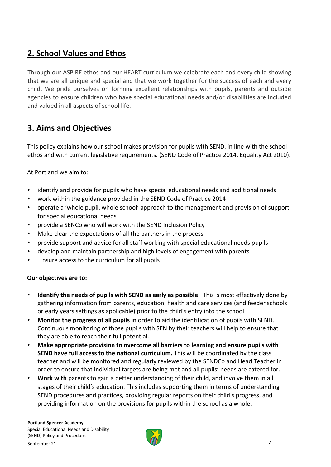## **2. School Values and Ethos**

Through our ASPIRE ethos and our HEART curriculum we celebrate each and every child showing that we are all unique and special and that we work together for the success of each and every child. We pride ourselves on forming excellent relationships with pupils, parents and outside agencies to ensure children who have special educational needs and/or disabilities are included and valued in all aspects of school life.

## **3. Aims and Objectives**

This policy explains how our school makes provision for pupils with SEND, in line with the school ethos and with current legislative requirements. (SEND Code of Practice 2014, Equality Act 2010).

At Portland we aim to:

- identify and provide for pupils who have special educational needs and additional needs
- work within the guidance provided in the SEND Code of Practice 2014
- operate a 'whole pupil, whole school' approach to the management and provision of support for special educational needs
- provide a SENCo who will work with the SEND Inclusion Policy
- Make clear the expectations of all the partners in the process
- provide support and advice for all staff working with special educational needs pupils
- develop and maintain partnership and high levels of engagement with parents
- Ensure access to the curriculum for all pupils

#### **Our objectives are to:**

- **Identify the needs of pupils with SEND as early as possible**. This is most effectively done by gathering information from parents, education, health and care services (and feeder schools or early years settings as applicable) prior to the child's entry into the school
- **Monitor the progress of all pupils** in order to aid the identification of pupils with SEND. Continuous monitoring of those pupils with SEN by their teachers will help to ensure that they are able to reach their full potential.
- **Make appropriate provision to overcome all barriers to learning and ensure pupils with SEND have full access to the national curriculum.** This will be coordinated by the class teacher and will be monitored and regularly reviewed by the SENDCo and Head Teacher in order to ensure that individual targets are being met and all pupils' needs are catered for.
- **Work with** parents to gain a better understanding of their child, and involve them in all stages of their child's education. This includes supporting them in terms of understanding SEND procedures and practices, providing regular reports on their child's progress, and providing information on the provisions for pupils within the school as a whole.

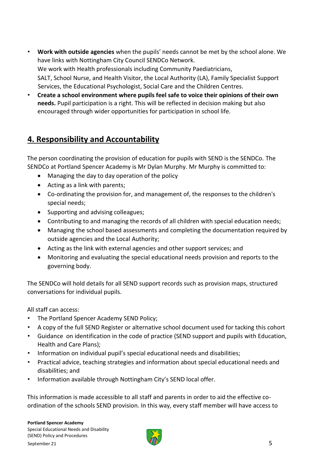- **Work with outside agencies** when the pupils' needs cannot be met by the school alone. We have links with Nottingham City Council SENDCo Network. We work with Health professionals including Community Paediatricians, SALT, School Nurse, and Health Visitor, the Local Authority (LA), Family Specialist Support Services, the Educational Psychologist, Social Care and the Children Centres.
- **Create a school environment where pupils feel safe to voice their opinions of their own needs.** Pupil participation is a right. This will be reflected in decision making but also encouraged through wider opportunities for participation in school life.

## **4. Responsibility and Accountability**

The person coordinating the provision of education for pupils with SEND is the SENDCo. The SENDCo at Portland Spencer Academy is Mr Dylan Murphy. Mr Murphy is committed to:

- Managing the day to day operation of the policy
- Acting as a link with parents;
- Co-ordinating the provision for, and management of, the responses to the children's special needs;
- Supporting and advising colleagues;
- Contributing to and managing the records of all children with special education needs;
- Managing the school based assessments and completing the documentation required by outside agencies and the Local Authority;
- Acting as the link with external agencies and other support services; and
- Monitoring and evaluating the special educational needs provision and reports to the governing body.

The SENDCo will hold details for all SEND support records such as provision maps, structured conversations for individual pupils.

All staff can access:

- The Portland Spencer Academy SEND Policy;
- A copy of the full SEND Register or alternative school document used for tacking this cohort
- Guidance on identification in the code of practice (SEND support and pupils with Education, Health and Care Plans);
- Information on individual pupil's special educational needs and disabilities;
- Practical advice, teaching strategies and information about special educational needs and disabilities; and
- Information available through Nottingham City's SEND local offer.

This information is made accessible to all staff and parents in order to aid the effective coordination of the schools SEND provision. In this way, every staff member will have access to

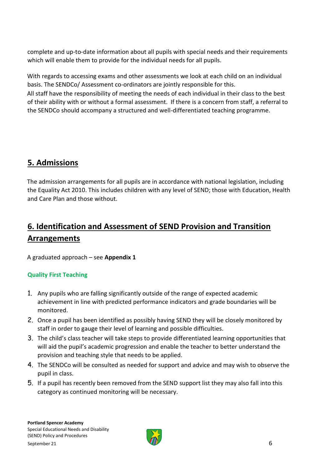complete and up-to-date information about all pupils with special needs and their requirements which will enable them to provide for the individual needs for all pupils.

With regards to accessing exams and other assessments we look at each child on an individual basis. The SENDCo/ Assessment co-ordinators are jointly responsible for this. All staff have the responsibility of meeting the needs of each individual in their class to the best of their ability with or without a formal assessment. If there is a concern from staff, a referral to the SENDCo should accompany a structured and well-differentiated teaching programme.

## **5. Admissions**

The admission arrangements for all pupils are in accordance with national legislation, including the Equality Act 2010. This includes children with any level of SEND; those with Education, Health and Care Plan and those without.

## **6. Identification and Assessment of SEND Provision and Transition Arrangements**

A graduated approach – see **Appendix 1**

### **Quality First Teaching**

- 1. Any pupils who are falling significantly outside of the range of expected academic achievement in line with predicted performance indicators and grade boundaries will be monitored.
- 2. Once a pupil has been identified as possibly having SEND they will be closely monitored by staff in order to gauge their level of learning and possible difficulties.
- 3. The child's class teacher will take steps to provide differentiated learning opportunities that will aid the pupil's academic progression and enable the teacher to better understand the provision and teaching style that needs to be applied.
- 4. The SENDCo will be consulted as needed for support and advice and may wish to observe the pupil in class.
- 5. If a pupil has recently been removed from the SEND support list they may also fall into this category as continued monitoring will be necessary.

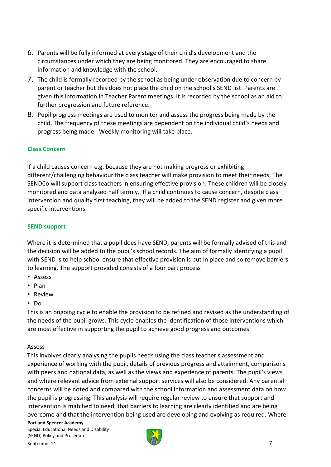- 6. Parents will be fully informed at every stage of their child's development and the circumstances under which they are being monitored. They are encouraged to share information and knowledge with the school.
- 7. The child is formally recorded by the school as being under observation due to concern by parent or teacher but this does not place the child on the school's SEND list. Parents are given this information in Teacher Parent meetings. It is recorded by the school as an aid to further progression and future reference.
- 8. Pupil progress meetings are used to monitor and assess the progress being made by the child. The frequency pf these meetings are dependent on the individual child's needs and progress being made. Weekly monitoring will take place.

#### **Class Concern**

If a child causes concern e.g. because they are not making progress or exhibiting different/challenging behaviour the class teacher will make provision to meet their needs. The SENDCo will support class teachers in ensuring effective provision. These children will be closely monitored and data analysed half termly. If a child continues to cause concern, despite class intervention and quality first teaching, they will be added to the SEND register and given more specific interventions.

#### **SEND support**

Where it is determined that a pupil does have SEND, parents will be formally advised of this and the decision will be added to the pupil's school records. The aim of formally identifying a pupil with SEND is to help school ensure that effective provision is put in place and so remove barriers to learning. The support provided consists of a four part process

- Assess
- Plan
- Review
- Do

This is an ongoing cycle to enable the provision to be refined and revised as the understanding of the needs of the pupil grows. This cycle enables the identification of those interventions which are most effective in supporting the pupil to achieve good progress and outcomes.

#### Assess

This involves clearly analysing the pupils needs using the class teacher's assessment and experience of working with the pupil, details of previous progress and attainment, comparisons with peers and national data, as well as the views and experience of parents. The pupil's views and where relevant advice from external support services will also be considered. Any parental concerns will be noted and compared with the school information and assessment data on how the pupil is progressing. This analysis will require regular review to ensure that support and intervention is matched to need, that barriers to learning are clearly identified and are being overcome and that the intervention being used are developing and evolving as required. Where

**Portland Spencer Academy**  Special Educational Needs and Disability (SEND) Policy and Procedures

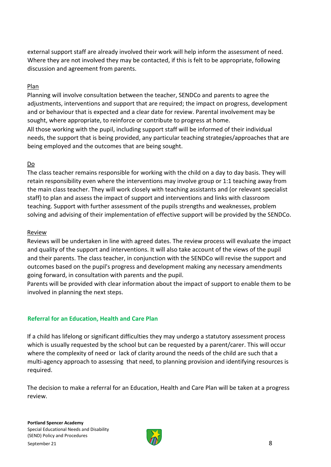external support staff are already involved their work will help inform the assessment of need. Where they are not involved they may be contacted, if this is felt to be appropriate, following discussion and agreement from parents.

#### Plan

Planning will involve consultation between the teacher, SENDCo and parents to agree the adjustments, interventions and support that are required; the impact on progress, development and or behaviour that is expected and a clear date for review. Parental involvement may be sought, where appropriate, to reinforce or contribute to progress at home. All those working with the pupil, including support staff will be informed of their individual needs, the support that is being provided, any particular teaching strategies/approaches that are being employed and the outcomes that are being sought.

#### Do

The class teacher remains responsible for working with the child on a day to day basis. They will retain responsibility even where the interventions may involve group or 1:1 teaching away from the main class teacher. They will work closely with teaching assistants and (or relevant specialist staff) to plan and assess the impact of support and interventions and links with classroom teaching. Support with further assessment of the pupils strengths and weaknesses, problem solving and advising of their implementation of effective support will be provided by the SENDCo.

#### Review

Reviews will be undertaken in line with agreed dates. The review process will evaluate the impact and quality of the support and interventions. It will also take account of the views of the pupil and their parents. The class teacher, in conjunction with the SENDCo will revise the support and outcomes based on the pupil's progress and development making any necessary amendments going forward, in consultation with parents and the pupil.

Parents will be provided with clear information about the impact of support to enable them to be involved in planning the next steps.

#### **Referral for an Education, Health and Care Plan**

If a child has lifelong or significant difficulties they may undergo a statutory assessment process which is usually requested by the school but can be requested by a parent/carer. This will occur where the complexity of need or lack of clarity around the needs of the child are such that a multi-agency approach to assessing that need, to planning provision and identifying resources is required.

The decision to make a referral for an Education, Health and Care Plan will be taken at a progress review.

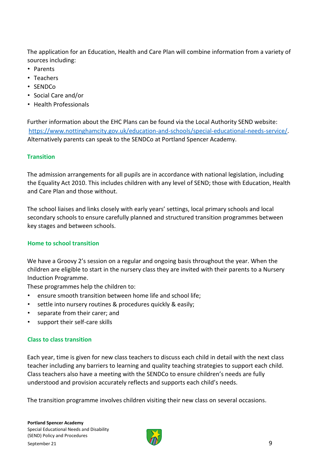The application for an Education, Health and Care Plan will combine information from a variety of sources including:

- Parents
- Teachers
- SENDCo
- Social Care and/or
- Health Professionals

Further information about the EHC Plans can be found via the Local Authority SEND website: [https://www.nottinghamcity.gov.uk/education-and-schools/special-educational-needs-service/.](https://www.nottinghamcity.gov.uk/education-and-schools/special-educational-needs-service/) Alternatively parents can speak to the SENDCo at Portland Spencer Academy.

#### **Transition**

The admission arrangements for all pupils are in accordance with national legislation, including the Equality Act 2010. This includes children with any level of SEND; those with Education, Health and Care Plan and those without.

The school liaises and links closely with early years' settings, local primary schools and local secondary schools to ensure carefully planned and structured transition programmes between key stages and between schools.

#### **Home to school transition**

We have a Groovy 2's session on a regular and ongoing basis throughout the year. When the children are eligible to start in the nursery class they are invited with their parents to a Nursery Induction Programme.

These programmes help the children to:

- ensure smooth transition between home life and school life;
- settle into nursery routines & procedures quickly & easily;
- separate from their carer; and
- support their self-care skills

#### **Class to class transition**

Each year, time is given for new class teachers to discuss each child in detail with the next class teacher including any barriers to learning and quality teaching strategies to support each child. Class teachers also have a meeting with the SENDCo to ensure children's needs are fully understood and provision accurately reflects and supports each child's needs.

The transition programme involves children visiting their new class on several occasions.

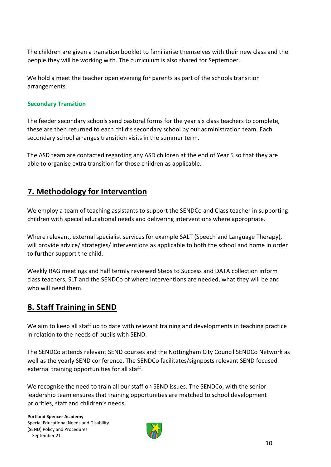The children are given a transition booklet to familiarise themselves with their new class and the people they will be working with. The curriculum is also shared for September.

We hold a meet the teacher open evening for parents as part of the schools transition arrangements.

#### **Secondary Transition**

The feeder secondary schools send pastoral forms for the year six class teachers to complete, these are then returned to each child's secondary school by our administration team. Each secondary school arranges transition visits in the summer term.

The ASD team are contacted regarding any ASD children at the end of Year 5 so that they are able to organise extra transition for those children as applicable.

## **7. Methodology for Intervention**

We employ a team of teaching assistants to support the SENDCo and Class teacher in supporting children with special educational needs and delivering interventions where appropriate.

Where relevant, external specialist services for example SALT (Speech and Language Therapy), will provide advice/ strategies/ interventions as applicable to both the school and home in order to further support the child.

Weekly RAG meetings and half termly reviewed Steps to Success and DATA collection inform class teachers, SLT and the SENDCo of where interventions are needed, what they will be and who will need them.

## **8. Staff Training in SEND**

We aim to keep all staff up to date with relevant training and developments in teaching practice in relation to the needs of pupils with SEND.

The SENDCo attends relevant SEND courses and the Nottingham City Council SENDCo Network as well as the yearly SEND conference. The SENDCo facilitates/signposts relevant SEND focused external training opportunities for all staff.

We recognise the need to train all our staff on SEND issues. The SENDCo, with the senior leadership team ensures that training opportunities are matched to school development priorities, staff and children's needs.

**Portland Spencer Academy**  Special Educational Needs and Disability (SEND) Policy and Procedures September 21

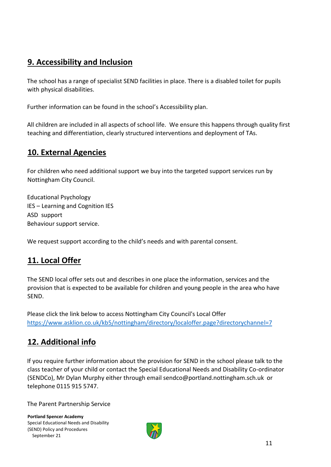## **9. Accessibility and Inclusion**

The school has a range of specialist SEND facilities in place. There is a disabled toilet for pupils with physical disabilities.

Further information can be found in the school's Accessibility plan.

All children are included in all aspects of school life. We ensure this happens through quality first teaching and differentiation, clearly structured interventions and deployment of TAs.

## **10. External Agencies**

For children who need additional support we buy into the targeted support services run by Nottingham City Council.

Educational Psychology IES – Learning and Cognition IES ASD support Behaviour support service.

We request support according to the child's needs and with parental consent.

## **11. Local Offer**

The SEND local offer sets out and describes in one place the information, services and the provision that is expected to be available for children and young people in the area who have SEND.

Please click the link below to access Nottingham City Council's Local Offer <https://www.asklion.co.uk/kb5/nottingham/directory/localoffer.page?directorychannel=7>

## **12. Additional info**

If you require further information about the provision for SEND in the school please talk to the class teacher of your child or contact the Special Educational Needs and Disability Co-ordinator (SENDCo), Mr Dylan Murphy either through email sendco@portland.nottingham.sch.uk or telephone 0115 915 5747.

The Parent Partnership Service

**Portland Spencer Academy**  Special Educational Needs and Disability (SEND) Policy and Procedures September 21

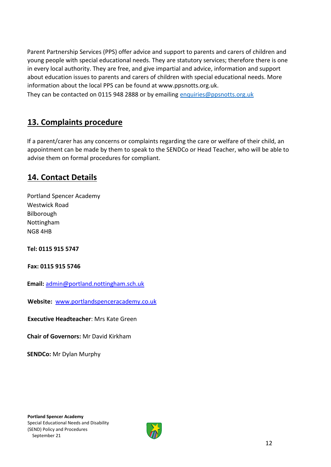Parent Partnership Services (PPS) offer advice and support to parents and carers of children and young people with special educational needs. They are statutory services; therefore there is one in every local authority. They are free, and give impartial and advice, information and support about education issues to parents and carers of children with special educational needs. More information about the local PPS can be found at www.ppsnotts.org.uk.

They can be contacted on 0115 948 2888 or by emailing [enquiries@ppsnotts.org.uk](mailto:enquiries@ppsnotts.org.uk)

## **13. Complaints procedure**

If a parent/carer has any concerns or complaints regarding the care or welfare of their child, an appointment can be made by them to speak to the SENDCo or Head Teacher, who will be able to advise them on formal procedures for compliant.

## **14. Contact Details**

Portland Spencer Academy Westwick Road Bilborough Nottingham NG8 4HB

**Tel: 0115 915 5747** 

**Fax: 0115 915 5746** 

**Email:** admin@portland.nottingham.sch.uk

**Website:** www.portlandspenceracademy.co.uk

**Executive Headteacher**: Mrs Kate Green

**Chair of Governors:** Mr David Kirkham

**SENDCo:** Mr Dylan Murphy

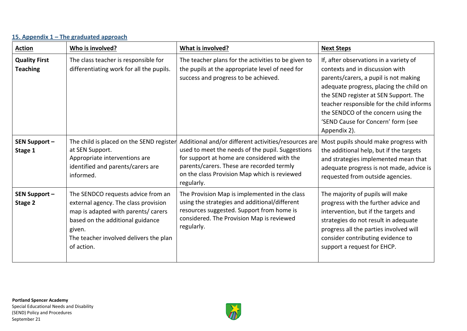#### **Action Who is involved? What is involved? What is involved? Next Steps Quality First Teaching** The class teacher is responsible for differentiating work for all the pupils. The teacher plans for the activities to be given to the pupils at the appropriate level of need for success and progress to be achieved. If, after observations in a variety of contexts and in discussion with parents/carers, a pupil is not making adequate progress, placing the child on the SEND register at SEN Support. The teacher responsible for the child informs the SENDCO of the concern using the 'SEND Cause for Concern' form (see Appendix 2). **SEN Support – Stage 1**  The child is placed on the SEND register at SEN Support. Appropriate interventions are identified and parents/carers are informed. Additional and/or different activities/resources are used to meet the needs of the pupil. Suggestions for support at home are considered with the parents/carers. These are recorded termly on the class Provision Map which is reviewed regularly. Most pupils should make progress with the additional help, but if the targets and strategies implemented mean that adequate progress is not made, advice is requested from outside agencies. **SEN Support – Stage 2**  The SENDCO requests advice from an external agency. The class provision map is adapted with parents/ carers based on the additional guidance given. The teacher involved delivers the plan of action. The Provision Map is implemented in the class using the strategies and additional/different resources suggested. Support from home is considered. The Provision Map is reviewed regularly. The majority of pupils will make progress with the further advice and intervention, but if the targets and strategies do not result in adequate progress all the parties involved will consider contributing evidence to support a request for EHCP.

#### **15. Appendix 1 – The graduated approach**

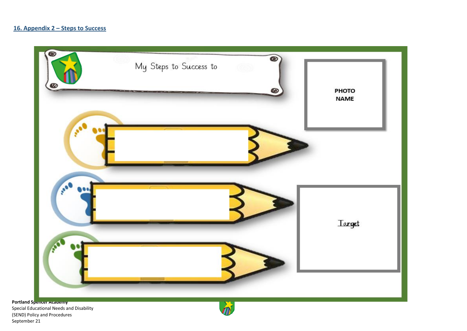

Special Educational Needs and Disability (SEND) Policy and Procedures September 21